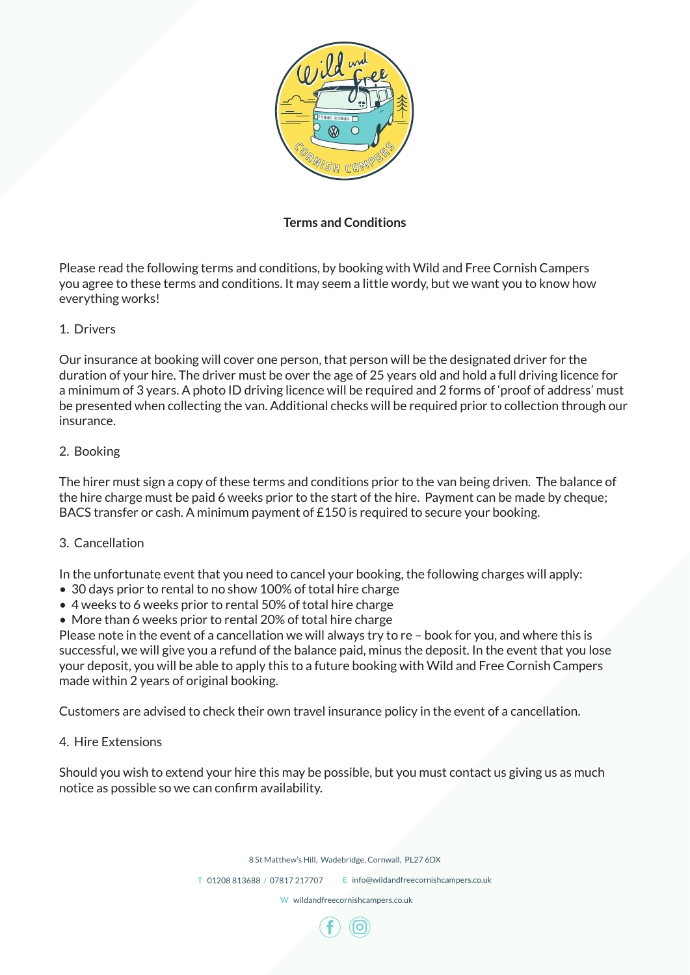

# **Terms and Conditions**

Please read the following terms and conditions, by booking with Wild and Free Cornish Campers you agree to these terms and conditions. It may seem a little wordy, but we want you to know how everything works!

# 1. Drivers

Our insurance at booking will cover one person, that person will be the designated driver for the duration of your hire. The driver must be over the age of 25 years old and hold a full driving licence for a minimum of 3 years. A photo ID driving licence will be required and 2 forms of 'proof of address' must be presented when collecting the van. Additional checks will be required prior to collection through our insurance.

# 2. Booking

The hirer must sign a copy of these terms and conditions prior to the van being driven. The balance of the hire charge must be paid 6 weeks prior to the start of the hire. Payment can be made by cheque; BACS transfer or cash. A minimum payment of £150 is required to secure your booking.

## 3. Cancellation

In the unfortunate event that you need to cancel your booking, the following charges will apply:

- 30 days prior to rental to no show 100% of total hire charge
- 4 weeks to 6 weeks prior to rental 50% of total hire charge
- More than 6 weeks prior to rental 20% of total hire charge

Please note in the event of a cancellation we will always try to re – book for you, and where this is successful, we will give you a refund of the balance paid, minus the deposit. In the event that you lose your deposit, you will be able to apply this to a future booking with Wild and Free Cornish Campers made within 2 years of original booking.

Customers are advised to check their own travel insurance policy in the event of a cancellation.

## 4. Hire Extensions

Should you wish to extend your hire this may be possible, but you must contact us giving us as much notice as possible so we can confirm availability.

8 St Matthew's Hill, Wadebridge, Cornwall, PL27 6DX

**T** 01208 813688 **/** 07817 217707 **E** info@wildandfreecornishcampers.co.uk

**W** wildandfreecornishcampers.co.uk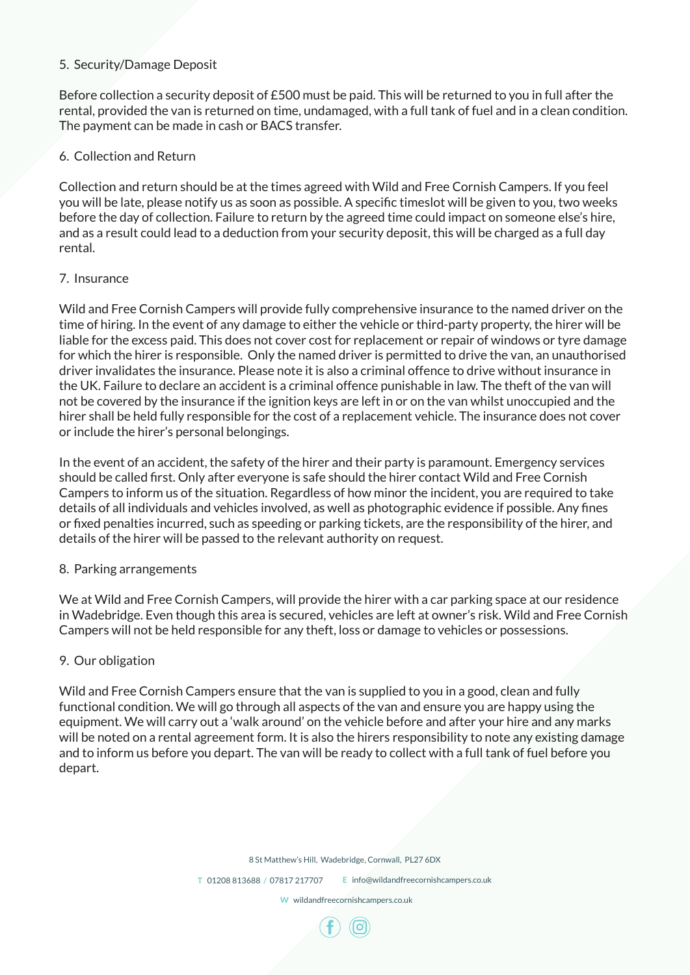## 5. Security/Damage Deposit

Before collection a security deposit of £500 must be paid. This will be returned to you in full after the rental, provided the van is returned on time, undamaged, with a full tank of fuel and in a clean condition. The payment can be made in cash or BACS transfer.

# 6. Collection and Return

Collection and return should be at the times agreed with Wild and Free Cornish Campers. If you feel you will be late, please notify us as soon as possible. A specific timeslot will be given to you, two weeks before the day of collection. Failure to return by the agreed time could impact on someone else's hire, and as a result could lead to a deduction from your security deposit, this will be charged as a full day rental.

# 7. Insurance

Wild and Free Cornish Campers will provide fully comprehensive insurance to the named driver on the time of hiring. In the event of any damage to either the vehicle or third-party property, the hirer will be liable for the excess paid. This does not cover cost for replacement or repair of windows or tyre damage for which the hirer is responsible. Only the named driver is permitted to drive the van, an unauthorised driver invalidates the insurance. Please note it is also a criminal offence to drive without insurance in the UK. Failure to declare an accident is a criminal offence punishable in law. The theft of the van will not be covered by the insurance if the ignition keys are left in or on the van whilst unoccupied and the hirer shall be held fully responsible for the cost of a replacement vehicle. The insurance does not cover or include the hirer's personal belongings.

In the event of an accident, the safety of the hirer and their party is paramount. Emergency services should be called first. Only after everyone is safe should the hirer contact Wild and Free Cornish Campers to inform us of the situation. Regardless of how minor the incident, you are required to take details of all individuals and vehicles involved, as well as photographic evidence if possible. Any fines or fixed penalties incurred, such as speeding or parking tickets, are the responsibility of the hirer, and details of the hirer will be passed to the relevant authority on request.

# 8. Parking arrangements

We at Wild and Free Cornish Campers, will provide the hirer with a car parking space at our residence in Wadebridge. Even though this area is secured, vehicles are left at owner's risk. Wild and Free Cornish Campers will not be held responsible for any theft, loss or damage to vehicles or possessions.

# 9. Our obligation

Wild and Free Cornish Campers ensure that the van is supplied to you in a good, clean and fully functional condition. We will go through all aspects of the van and ensure you are happy using the equipment. We will carry out a 'walk around' on the vehicle before and after your hire and any marks will be noted on a rental agreement form. It is also the hirers responsibility to note any existing damage and to inform us before you depart. The van will be ready to collect with a full tank of fuel before you depart.

8 St Matthew's Hill, Wadebridge, Cornwall, PL27 6DX

**T** 01208 813688 **/** 07817 217707 **E** info@wildandfreecornishcampers.co.uk

**W** wildandfreecornishcampers.co.uk